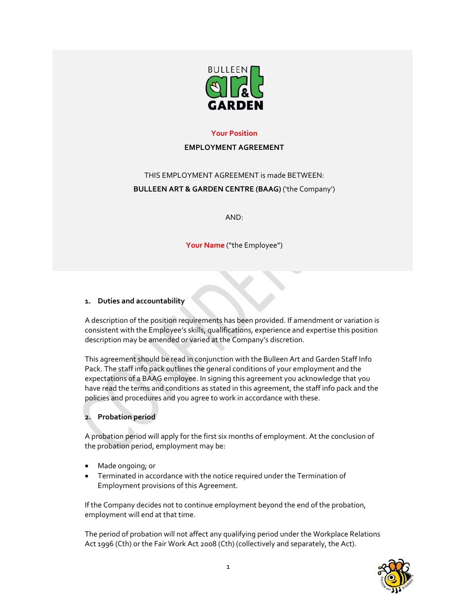

## **Your Position**

#### **EMPLOYMENT AGREEMENT**

# THIS EMPLOYMENT AGREEMENT is made BETWEEN: **BULLEEN ART & GARDEN CENTRE (BAAG)** ('the Company')

AND:

**Your Name** ("the Employee")

## **1. Duties and accountability**

A description of the position requirements has been provided. If amendment or variation is consistent with the Employee's skills, qualifications, experience and expertise this position description may be amended or varied at the Company's discretion.

This agreement should be read in conjunction with the Bulleen Art and Garden Staff Info Pack. The staff info pack outlines the general conditions of your employment and the expectations of a BAAG employee. In signing this agreement you acknowledge that you have read the terms and conditions as stated in this agreement, the staff info pack and the policies and procedures and you agree to work in accordance with these.

# **2. Probation period**

A probation period will apply for the first six months of employment. At the conclusion of the probation period, employment may be:

- Made ongoing; or
- Terminated in accordance with the notice required under the Termination of Employment provisions of this Agreement.

If the Company decides not to continue employment beyond the end of the probation, employment will end at that time.

The period of probation will not affect any qualifying period under the Workplace Relations Act 1996 (Cth) or the Fair Work Act 2008 (Cth) (collectively and separately, the Act).

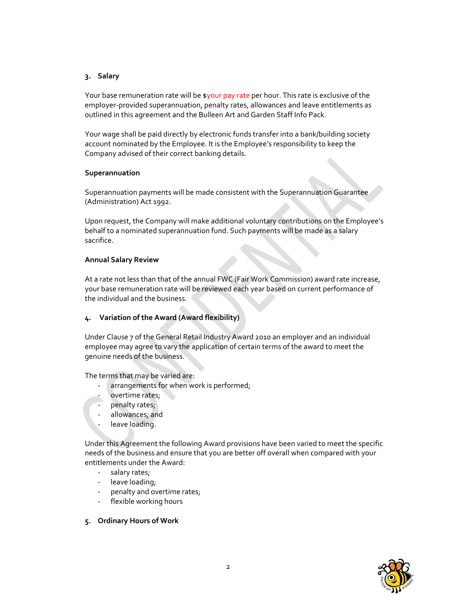## **3. Salary**

Your base remuneration rate will be \$your pay rate per hour. This rate is exclusive of the employer-provided superannuation, penalty rates, allowances and leave entitlements as outlined in this agreement and the Bulleen Art and Garden Staff Info Pack.

Your wage shall be paid directly by electronic funds transfer into a bank/building society account nominated by the Employee. It is the Employee's responsibility to keep the Company advised of their correct banking details.

## **Superannuation**

Superannuation payments will be made consistent with the Superannuation Guarantee (Administration) Act 1992.

Upon request, the Company will make additional voluntary contributions on the Employee's behalf to a nominated superannuation fund. Such payments will be made as a salary sacrifice.

# **Annual Salary Review**

At a rate not less than that of the annual FWC (Fair Work Commission) award rate increase, your base remuneration rate will be reviewed each year based on current performance of the individual and the business.

## **4. Variation of the Award (Award flexibility)**

Under Clause 7 of the General Retail Industry Award 2010 an employer and an individual employee may agree to vary the application of certain terms of the award to meet the genuine needs of the business.

The terms that may be varied are:

- arrangements for when work is performed;
- overtime rates;
- penalty rates;
- ‐ allowances; and
- leave loading.

Under this Agreement the following Award provisions have been varied to meet the specific needs of the business and ensure that you are better off overall when compared with your entitlements under the Award:

- salary rates;
- leave loading;
- penalty and overtime rates;
- ‐ flexible working hours

## **5. Ordinary Hours of Work**

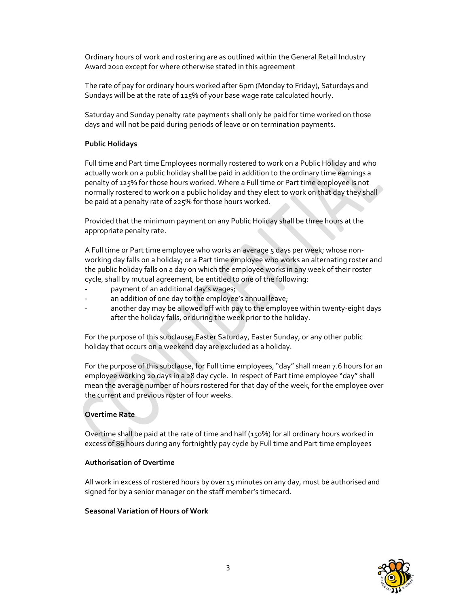Ordinary hours of work and rostering are as outlined within the General Retail Industry Award 2010 except for where otherwise stated in this agreement

The rate of pay for ordinary hours worked after 6pm (Monday to Friday), Saturdays and Sundays will be at the rate of 125% of your base wage rate calculated hourly.

Saturday and Sunday penalty rate payments shall only be paid for time worked on those days and will not be paid during periods of leave or on termination payments.

#### **Public Holidays**

Full time and Part time Employees normally rostered to work on a Public Holiday and who actually work on a public holiday shall be paid in addition to the ordinary time earnings a penalty of 125% for those hours worked. Where a Full time or Part time employee is not normally rostered to work on a public holiday and they elect to work on that day they shall be paid at a penalty rate of 225% for those hours worked.

Provided that the minimum payment on any Public Holiday shall be three hours at the appropriate penalty rate.

A Full time or Part time employee who works an average 5 days per week; whose nonworking day falls on a holiday; or a Part time employee who works an alternating roster and the public holiday falls on a day on which the employee works in any week of their roster cycle, shall by mutual agreement, be entitled to one of the following:

- payment of an additional day's wages;
- an addition of one day to the employee's annual leave;
- another day may be allowed off with pay to the employee within twenty-eight days after the holiday falls, or during the week prior to the holiday.

For the purpose of this subclause, Easter Saturday, Easter Sunday, or any other public holiday that occurs on a weekend day are excluded as a holiday.

For the purpose of this subclause, for Full time employees, "day" shall mean 7.6 hours for an employee working 20 days in a 28 day cycle. In respect of Part time employee "day" shall mean the average number of hours rostered for that day of the week, for the employee over the current and previous roster of four weeks.

## **Overtime Rate**

Overtime shall be paid at the rate of time and half (150%) for all ordinary hours worked in excess of 86 hours during any fortnightly pay cycle by Full time and Part time employees

#### **Authorisation of Overtime**

All work in excess of rostered hours by over 15 minutes on any day, must be authorised and signed for by a senior manager on the staff member's timecard.

#### **Seasonal Variation of Hours of Work**

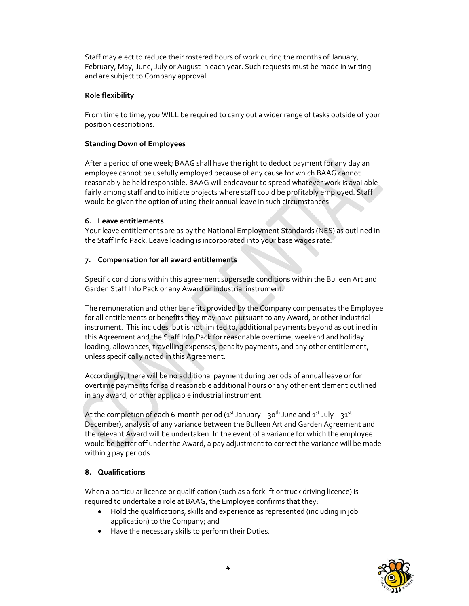Staff may elect to reduce their rostered hours of work during the months of January, February, May, June, July or August in each year. Such requests must be made in writing and are subject to Company approval.

## **Role flexibility**

From time to time, you WILL be required to carry out a wider range of tasks outside of your position descriptions.

# **Standing Down of Employees**

After a period of one week; BAAG shall have the right to deduct payment for any day an employee cannot be usefully employed because of any cause for which BAAG cannot reasonably be held responsible. BAAG will endeavour to spread whatever work is available fairly among staff and to initiate projects where staff could be profitably employed. Staff would be given the option of using their annual leave in such circumstances.

# **6. Leave entitlements**

Your leave entitlements are as by the National Employment Standards (NES) as outlined in the Staff Info Pack. Leave loading is incorporated into your base wages rate.

# **7. Compensation for all award entitlements**

Specific conditions within this agreement supersede conditions within the Bulleen Art and Garden Staff Info Pack or any Award or industrial instrument.

The remuneration and other benefits provided by the Company compensates the Employee for all entitlements or benefits they may have pursuant to any Award, or other industrial instrument. This includes, but is not limited to, additional payments beyond as outlined in this Agreement and the Staff Info Pack for reasonable overtime, weekend and holiday loading, allowances, travelling expenses, penalty payments, and any other entitlement, unless specifically noted in this Agreement.

Accordingly, there will be no additional payment during periods of annual leave or for overtime payments for said reasonable additional hours or any other entitlement outlined in any award, or other applicable industrial instrument.

At the completion of each 6-month period ( $1<sup>st</sup>$  January –  $30<sup>th</sup>$  June and  $1<sup>st</sup>$  July –  $31<sup>st</sup>$ December), analysis of any variance between the Bulleen Art and Garden Agreement and the relevant Award will be undertaken. In the event of a variance for which the employee would be better off under the Award, a pay adjustment to correct the variance will be made within 3 pay periods.

# **8. Qualifications**

When a particular licence or qualification (such as a forklift or truck driving licence) is required to undertake a role at BAAG, the Employee confirms that they:

- Hold the qualifications, skills and experience as represented (including in job application) to the Company; and
- Have the necessary skills to perform their Duties.

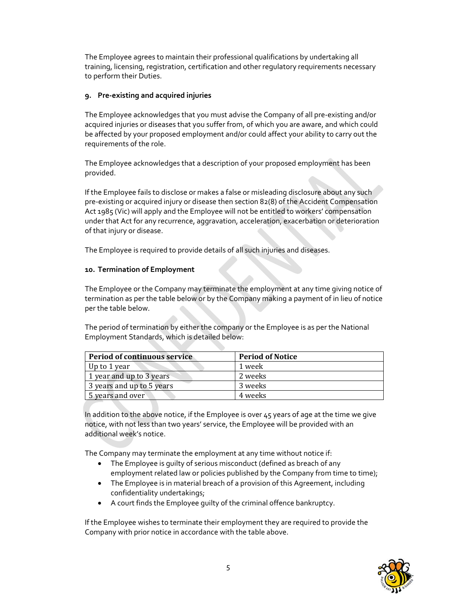The Employee agrees to maintain their professional qualifications by undertaking all training, licensing, registration, certification and other regulatory requirements necessary to perform their Duties.

#### **9. Pre‐existing and acquired injuries**

The Employee acknowledges that you must advise the Company of all pre‐existing and/or acquired injuries or diseases that you suffer from, of which you are aware, and which could be affected by your proposed employment and/or could affect your ability to carry out the requirements of the role.

The Employee acknowledges that a description of your proposed employment has been provided.

If the Employee fails to disclose or makes a false or misleading disclosure about any such pre‐existing or acquired injury or disease then section 82(8) of the Accident Compensation Act 1985 (Vic) will apply and the Employee will not be entitled to workers' compensation under that Act for any recurrence, aggravation, acceleration, exacerbation or deterioration of that injury or disease.

The Employee is required to provide details of all such injuries and diseases.

## **10. Termination of Employment**

The Employee or the Company may terminate the employment at any time giving notice of termination as per the table below or by the Company making a payment of in lieu of notice per the table below.

The period of termination by either the company or the Employee is as per the National Employment Standards, which is detailed below:

| <b>Period of continuous service</b> | <b>Period of Notice</b> |
|-------------------------------------|-------------------------|
| Up to 1 year                        | 1 week                  |
| 1 year and up to 3 years            | 2 weeks                 |
| 3 years and up to 5 years           | 3 weeks                 |
| 5 years and over                    | 4 weeks                 |

In addition to the above notice, if the Employee is over 45 years of age at the time we give notice, with not less than two years' service, the Employee will be provided with an additional week's notice.

The Company may terminate the employment at any time without notice if:

- The Employee is quilty of serious misconduct (defined as breach of any employment related law or policies published by the Company from time to time);
- The Employee is in material breach of a provision of this Agreement, including confidentiality undertakings;
- A court finds the Employee guilty of the criminal offence bankruptcy.

If the Employee wishes to terminate their employment they are required to provide the Company with prior notice in accordance with the table above.

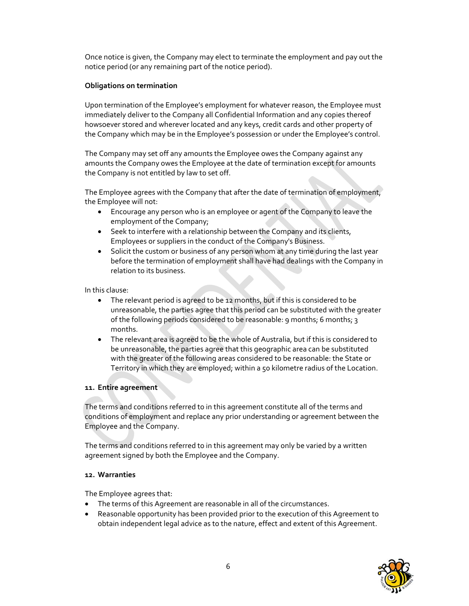Once notice is given, the Company may elect to terminate the employment and pay out the notice period (or any remaining part of the notice period).

#### **Obligations on termination**

Upon termination of the Employee's employment for whatever reason, the Employee must immediately deliver to the Company all Confidential Information and any copies thereof howsoever stored and wherever located and any keys, credit cards and other property of the Company which may be in the Employee's possession or under the Employee's control.

The Company may set off any amounts the Employee owes the Company against any amounts the Company owes the Employee at the date of termination except for amounts the Company is not entitled by law to set off.

The Employee agrees with the Company that after the date of termination of employment, the Employee will not:

- Encourage any person who is an employee or agent of the Company to leave the employment of the Company;
- Seek to interfere with a relationship between the Company and its clients, Employees or suppliers in the conduct of the Company's Business.
- Solicit the custom or business of any person whom at any time during the last year before the termination of employment shall have had dealings with the Company in relation to its business.

In this clause:

- The relevant period is agreed to be 12 months, but if this is considered to be unreasonable, the parties agree that this period can be substituted with the greater of the following periods considered to be reasonable: 9 months; 6 months; 3 months.
- The relevant area is agreed to be the whole of Australia, but if this is considered to be unreasonable, the parties agree that this geographic area can be substituted with the greater of the following areas considered to be reasonable: the State or Territory in which they are employed; within a 50 kilometre radius of the Location.

#### **11. Entire agreement**

The terms and conditions referred to in this agreement constitute all of the terms and conditions of employment and replace any prior understanding or agreement between the Employee and the Company.

The terms and conditions referred to in this agreement may only be varied by a written agreement signed by both the Employee and the Company.

#### **12. Warranties**

The Employee agrees that:

- The terms of this Agreement are reasonable in all of the circumstances.
- Reasonable opportunity has been provided prior to the execution of this Agreement to obtain independent legal advice as to the nature, effect and extent of this Agreement.